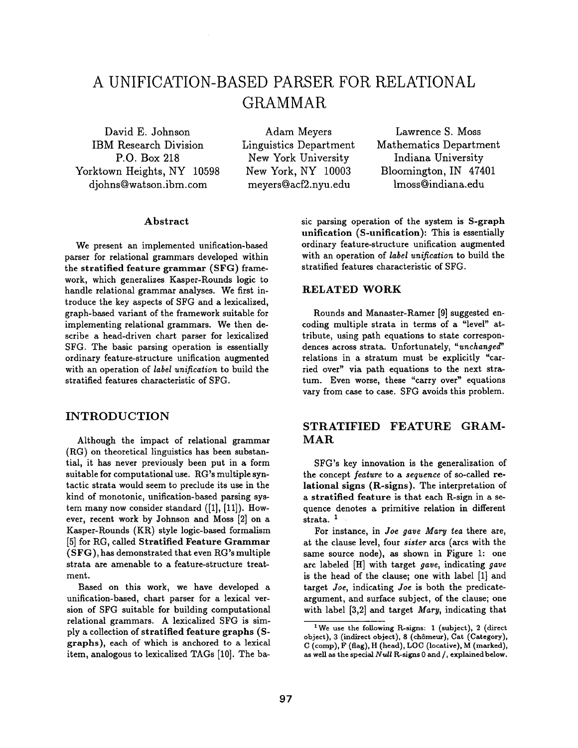# **A UNIFICATION-BASED PARSER FOR RELATIONAL GRAMMAR**

David E. Johnson IBM Research Division P.O. Box 218 Yorktown Heights, NY 10598 djohns@watson.ibm.com

Adam Meyers Linguistics Department New York University New York, NY 10003 meyers@acf2.nyu.edu

Lawrence S. Moss Mathematics Department Indiana University Bloomington, IN 47401 lmoss@indiana.edu

#### Abstract

We present an implemented unification-based parser for relational grammars developed within the stratified feature grammar (SFG) framework, which generalizes Kasper-Rounds logic to handle relational grammar analyses. We first introduce the key aspects of SFG and a lexicalized, graph-based variant of the framework suitable for implementing relational grammars. We then describe a head-driven chart parser for lexicalized SFG. The basic parsing operation is essentially ordinary feature-structure unification augmented with an operation of *label unification* to build the stratified features characteristic of SFG.

## INTRODUCTION

Although the impact of relational grammar (RG) on theoretical linguistics has been substantial, it has never previously been put in a form suitable for computational use. RG's multiple syntactic strata would seem to preclude its use in the kind of monotonic, unification-based parsing system many now consider standard ([1], [11]). However, recent work by Johnson and Moss [2] on a Kasper-Rounds (KR) style logic-based formalism [5] for RG, called Stratified Feature Grammar  $(SFG)$ , has demonstrated that even RG's multiple strata are amenable to a feature-structure treatment.

Based on this work, we have developed a unification-based, chart parser for a lexical version of SFG suitable for building computational relational grammars. A lexicalized SFG is simply a collection of stratified feature graphs (Sgraphs), each of which is anchored to a lexical item, analogous to lexicalized TAGs [10]. The basic parsing operation of the system is S-graph unification (S-unification): This is essentially ordinary feature-structure unification augmented with an operation of *label unification* to build the stratified features characteristic of SFG.

#### RELATED WORK

Rounds and Manaster-Ramer [9] suggested encoding multiple strata in terms of a "level" attribute, using path equations to state correspondences across strata. Unfortunately, *"unchanged'*  relations in a stratum must be explicitly "carried over" via path equations to the next stratum. Even worse, these "carry over" equations vary from case to case. SFG avoids this problem.

# STRATIFIED FEATURE GRAM-MAR

SFG's key innovation is the generalization of the concept *feature* to a *sequence* of so-called relational signs (R-signs). The interpretation of a stratified feature is that each R-sign in a sequence denotes a primitive relation in different strata.<sup>1</sup>

For instance, in *Joe gave Mary tea* there are, at the clause level, four *sister* arcs (arcs with the same source node), as shown in Figure 1: one arc labeled [HI with target *gave,* indicating *gave*  is the head of the clause; one with label [1] and target *Joe,* indicating *Joe* is both the predicateargument, and surface subject, of the clause; one with label [3,2] and target *Mary,* indicating that

l We use the following R-signs: 1 (subject), 2 (direct object), 3 (indirect object), 8 (chômeur), Cat (Category), C (comp), F (flag), H (head), LOC (locative), M (marked), as well as the special *Null* R-signs 0 and/, explainedbelow.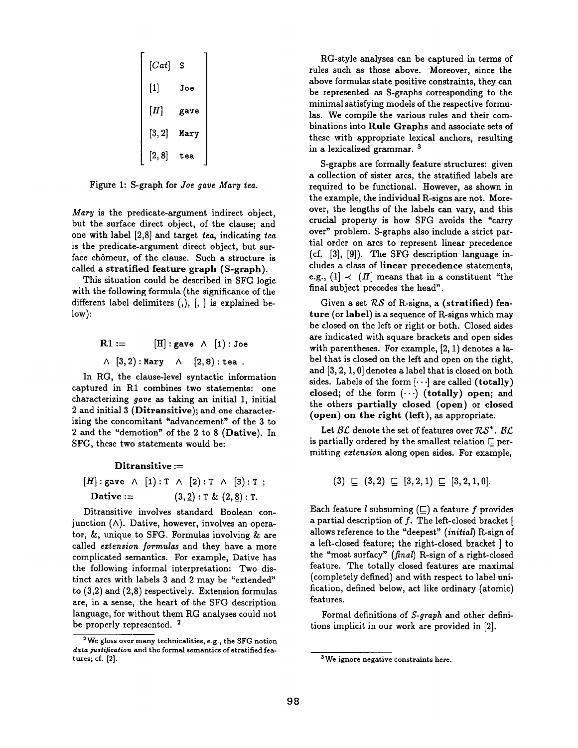$[Cat]$  s **[1] Joe**   $[H]$  gave **[3, 2] Mary [2, 8] tea** 

Figure 1: S-graph for *Joe gave Mary tea.* 

*Mary* is the predicate-argument indirect object, but the surface direct object, of the clause; and one with label [2,8] and target *tea,* indicating *tea*  is the predicate-argument direct object, but surface chômeur, of the clause. Such a structure is called a stratified feature graph (S-graph).

This situation could be described in SFG logic with the following formula (the significance of the different label delimiters (,), [, ] is explained below):

> $R1 :=$  [H]: gave  $\wedge$  [1]: Joe  $\wedge$   $[3, 2)$ : Mary  $\wedge$   $[2, 8)$ : tea.

In RG, the clause-level syntactic information captured in R1 combines two statements: one characterizing *gave as* taking an initial 1, initial 2 and initial 3 (Ditransitive); and one characterizing the concomitant "advancement" of the 3 to 2 and the "demotion" of the 2 to 8 (Dative). In SFG, these two statements would be:

 $Ditransitive :=$  $[H]:$  gave  $\wedge$  [1): T  $\wedge$  [2): T  $\wedge$  [3): T; Dative :=  $(3, 2): T & (2, 8): T$ .

Ditransitive involves standard Boolean conjunction  $(\wedge)$ . Dative, however, involves an operator,  $\&$ , unique to SFG. Formulas involving  $\&$  are called *extension formulas* and they have a more complicated semantics. For example, Dative has the following informal interpretation: Two distinct arcs with labels 3 and 2 may be "extended" to (3,2) and (2,8) respectively. Extension formulas are, in a sense, the heart of the SFG description language, for without them RG analyses could not be properly represented.<sup>2</sup>

RG-style analyses can be captured in terms of rules such as those above. Moreover, since the above formulas state positive constraints, they can be represented as S-graphs corresponding to the minimal satisfying models of the respective formulas. We compile the various rules and their combinations into Rule Graphs and associate sets of these with appropriate lexical anchors, resulting in a lexicalized grammar.<sup>3</sup>

S-graphs are formally feature structures: given a collection of sister arcs, the stratified labels are required to be functional. However, as shown in the example, the individual R-signs are not. Moreover, the lengths of the labels can vary, and this crucial property is how SFG avoids the "carry over" problem. S-graphs also include a strict partial order on arcs to represent linear precedence (cf. [3], [9]). The SFG description language includes a class of linear precedence statements, e.g.,  $(1] \prec (H)$  means that in a constituent "the final subject precedes the head".

Given a set  $RS$  of R-signs, a (stratified) feature (or label) is a sequence of R-signs which may be closed on the left or right or both. Closed sides are indicated with square brackets and open sides with parentheses. For example, [2, 1) denotes a label that is closed on the left and open on the right, and [3, 2, 1, 0] denotes a label that is closed on both sides. Labels of the form  $\left[\cdots\right]$  are called (totally) closed; of the form  $(\cdots)$  (totally) open; and the others partially closed (open) or closed (open) on the right (left), as appropriate.

Let  $\mathcal{BL}$  denote the set of features over  $\mathcal{RS}^*$ .  $\mathcal{BL}$ is partially ordered by the smallest relation  $\square$  permitting *eztension* along open sides. For example,

 $(3) \sqsubseteq (3,2) \sqsubseteq [3,2,1) \sqsubseteq [3,2,1,0].$ 

Each feature  $l$  subsuming  $(\sqsubseteq)$  a feature f provides a partial description of f. The left-closed bracket [ allows reference to the "deepest" *(initial)* R-sign of a left-closed feature; the right-closed bracket ] to the "most surfacy" (final) R-sign of a right-closed feature. The totally closed features are maximal (completely defined) and with respect to label unification, defined below, act like ordinary (atomic) features.

Formal definitions of *S-graph* and other definitions implicit in our work are provided in [2].

<sup>2</sup>We gloss over many technicalities, e.g., the SFG notion *data justification* and the formal semantics of stratified features; cf. [2].

<sup>&</sup>lt;sup>3</sup> We ignore negative constraints here.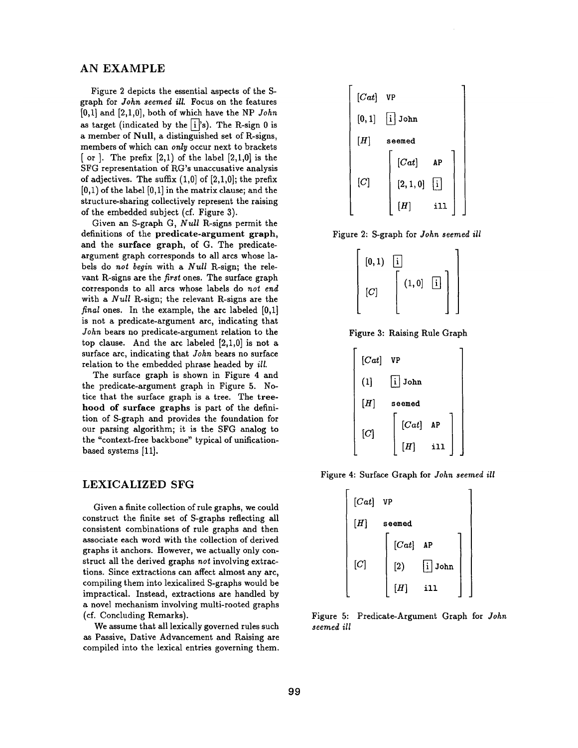# **AN EXAMPLE**

Figure 2 depicts the essential aspects of the Sgraph for *John seemed ill.* Focus on the features [0,1] and [2,1,0], both of which have the NP *John*  as target (indicated by the  $\overrightarrow{1}$ 's). The R-sign 0 is a member of Null, a distinguished set of R-signs, members of which can *only* occur next to brackets [ or ]. The prefix  $[2,1)$  of the label  $[2,1,0]$  is the SFG representation of RG's unaccusative analysis of adjectives. The suffix  $(1,0]$  of  $[2,1,0]$ ; the prefix  $[0,1)$  of the label  $[0,1]$  in the matrix clause; and the structure-sharing collectively represent the raising of the embedded subject (cf. Figure 3).

Given an S-graph G, *Null* R-signs permit the definitions of the predicate-argument graph, and the surface graph, of G. The predicateargument graph corresponds to all arcs whose labels do *not begin* with a *Null* R-sign; the relevant R-signs are the *first* ones. The surface graph corresponds to all arcs whose labels do *not end*  with a *Null* R-sign; the relevant R-signs are the *final* ones. In the example, the arc labeled [0,1] is not a predicate-argument arc, indicating that *John* bears no predicate-argument relation to the top clause. And the arc labeled  $[2,1,0]$  is not a surface arc, indicating that *John* bears no surface relation to the embedded phrase headed by *ill.* 

The surface graph is shown in Figure 4 and the predicate-argument graph in Figure 5. Notice that the surface graph is a tree. The treehood of surface graphs is part of the definition of S-graph and provides the foundation for our parsing algorithm; it is the SFG analog to the "context-free backbone" typical of unificationbased systems [11].

## LEXICALIZED SFG

Given a finite collection of rule graphs, we could construct the finite set of S-graphs reflecting all consistent combinations of rule graphs and then associate each word with the collection of derived graphs it anchors. However, we actually only construct all the derived graphs *not* involving extractions. Since extractions can affect almost any arc, compiling them into lexicalized S-graphs would be impractical. Instead, extractions are handled by a novel mechanism involving multi-rooted graphs (of. Concluding Remarks).

We assume that all lexically governed rules such as Passive, Dative Advancement and Raising are compiled into the lexical entries governing them.



Figure 2: S-graph for *John seemed ill* 



Figure 3: Raising Rule Graph



Figure 4: Surface Graph for *John seemed ill* 



**Figure** 5: Predicate-Argument Graph for *John seemed ill*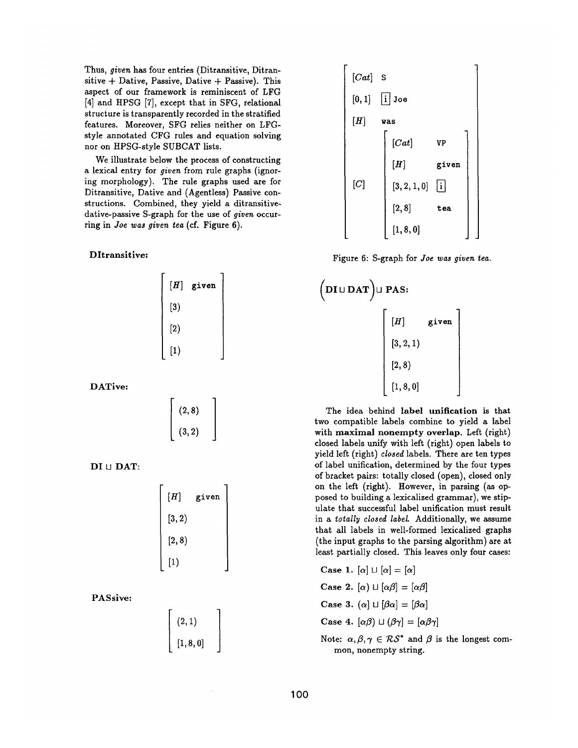Thus, *given* has four entries (Ditransitive, Ditransitive  $+$  Dative, Passive, Dative  $+$  Passive). This aspect of our framework is reminiscent of LFG [4] and HPSG [7], except that in SFG, relational structure is transparently recorded in the stratified features. Moreover, SFG relies neither on LFGstyle annotated CFG rules and equation solving nor on HPSG-style SUBCAT lists.

We illustrate below the process of constructing a lexical entry for *given* from rule graphs (ignoring morphology). The rule graphs used are for Ditransitive, Dative and (Agentless) Passive constructions. Combined, they yield a ditransitivedative-passive S-graph for the use of *given* occurring in *Joe was given tea* (cf. Figure 6).

#### Dltransitive:

| $[H]% \centering \subfloat[\centering]{{\includegraphics[scale=0.2]{img10.png} }}% \qquad \subfloat[\centering]{{\includegraphics[scale=0.2]{img11.png} }}% \caption{(Adaptive image) Set size produced in our classification example (panel left). } \label{fig:3}$ | given |
|----------------------------------------------------------------------------------------------------------------------------------------------------------------------------------------------------------------------------------------------------------------------|-------|
| $\left[ 3\right)$                                                                                                                                                                                                                                                    |       |
| $\left[ 2\right)$                                                                                                                                                                                                                                                    |       |
| $\left[1\right)$                                                                                                                                                                                                                                                     |       |

DATive:

$$
\left[\begin{array}{c} (2,8) \\ (3,2) \end{array}\right]
$$

 $DI \sqcup$  $DATA:$ 

| $[H]% \centering \subfloat[\centering]{{\includegraphics[scale=0.2]{img10.png} }}% \qquad \subfloat[\centering]{{\includegraphics[scale=0.2]{img11.png} }}% \caption{(Adaptive image) Set size produced in our classification example (panel left). } \label{fig:3}$ | given |
|----------------------------------------------------------------------------------------------------------------------------------------------------------------------------------------------------------------------------------------------------------------------|-------|
| [3, 2)                                                                                                                                                                                                                                                               |       |
| [2, 8)                                                                                                                                                                                                                                                               |       |
| $[1]$                                                                                                                                                                                                                                                                |       |

PASsive:

| (2,1)   |  |
|---------|--|
| [1,8,0] |  |



Figure 6: S-graph for *Joe was given iea.* 

$$
\begin{pmatrix}\nD I \cup D A T\n\end{pmatrix} \cup P A S:\n\begin{bmatrix}\n[H] & \text{given} \\
[3, 2, 1) \\
[2, 8)\n\end{bmatrix}
$$

The idea behind **label unification** is that two compatible labels combine to yield a label with maximal nonempty overlap. Left (right) closed labels unify with left (right) open labels to yield left (right) *closed* labels. There are ten types of label unification, determined by the four types of bracket pairs: totally closed (open), closed only on the left (right). However, in parsing (as opposed to building a lexicalized grammar), we stipulate that successful label unification must result in a *totally closed label*. Additionally, we assume that all labels in well-formed lexicalized graphs (the input graphs to the parsing algorithm) are at least partially closed. This leaves only four cases:

Case 1.  $[\alpha] \sqcup [\alpha] = [\alpha]$ **Case 2.**  $[\alpha] \sqcup [\alpha \beta] = [\alpha \beta]$ Case 3.  $(\alpha) \sqcup [\beta \alpha] = [\beta \alpha]$ **Case 4.**  $[\alpha \beta] \sqcup (\beta \gamma] = [\alpha \beta \gamma]$ 

Note:  $\alpha, \beta, \gamma \in RS^*$  and  $\beta$  is the longest common, nonempty string.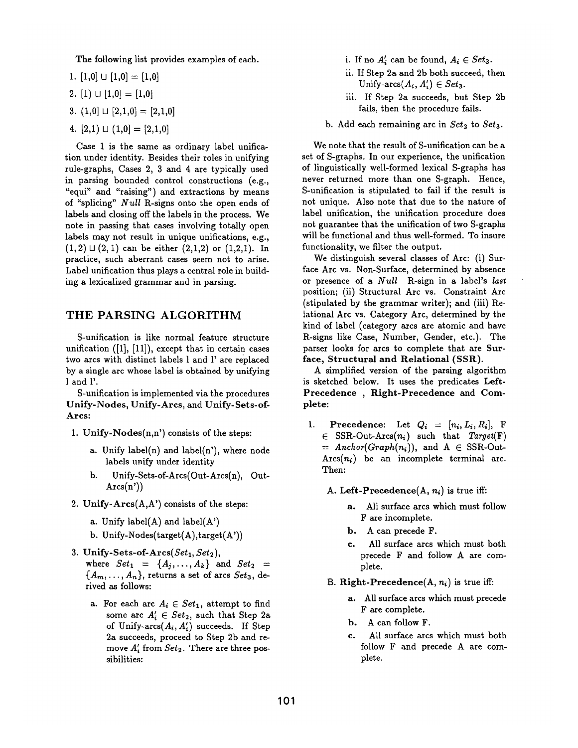The following list provides examples of each.

- 1.  $[1,0] \sqcup [1,0] = [1,0]$
- 2. [1)  $\sqcup$  [1,0] = [1,0]
- 3.  $(1,0] \sqcup [2,1,0] = [2,1,0]$
- 4.  $[2,1) \sqcup (1,0] = [2,1,0]$

Case 1 is the same as ordinary label unification under identity. Besides their roles in unifying rule-graphs, Cases 2, 3 and 4 are typically used in parsing bounded control constructions (e.g., "equi" and "raising") and extractions by means of "splicing" *Null* R-signs onto the open ends of labels and closing off the labels in the process. We note in passing that cases involving totally open labels may not result in unique unifications, e.g.,  $(1, 2) \sqcup (2, 1)$  can be either  $(2, 1, 2)$  or  $(1, 2, 1)$ . In practice, such aberrant cases seem not to arise. Label unification thus plays a central role in building a lexicalized grammar and in parsing.

## THE PARSING ALGORITHM

S-unification is like normal feature structure unification  $([1], [11])$ , except that in certain cases two arcs with distinct labels 1 and l' are replaced by a single arc whose label is obtained by unifying 1 and l'.

S-unification is implemented via the procedures Unify-Nodes, Unify-Arcs, and Unify-Sets-of-Arcs:

- 1. Unify-Nodes(n,n') consists of the steps:
	- a. Unify  $label(n)$  and  $label(n')$ , where node labels unify under identity
	- b. Unify-Sets-of-Arcs(Out-Arcs(n), Out- $Arcs(n'))$
- 2. Unify- $Arcs(A, A')$  consists of the steps:
	- a. Unify label(A) and label( $A'$ )
	- b. Unify-Nodes(target $(A)$ ,target $(A')$ )
- 3. Unify-Sets-of-Arcs $(Set_1, Set_2)$ , where  $Set_1 = \{A_j, \ldots, A_k\}$  and  $Set_2$  =  ${A_m, \ldots, A_n}$ , returns a set of arcs *Set<sub>3</sub>*, derived as follows:
	- a. For each arc  $A_i \in Set_1$ , attempt to find some arc  $A'_i \in Set_2$ , such that Step 2a of Unify-arcs $(A_i, A'_i)$  succeeds. If Step 2a succeeds, proceed to Step 2b and remove  $A'_i$  from  $Set_2$ . There are three possibilities:
- i. If no  $A'_i$  can be found,  $A_i \in Set_3$ .
- ii. If Step 2a and 2b both succeed, then Unify-arcs $(A_i, A'_i) \in Set_3$ .
- iii. If Step 2a succeeds, but Step 2b fails, then the procedure fails.
- b. Add each remaining arc in  $Set_2$  to  $Set_3$ .

We note that the result of S-unification can be a set of S-graphs. In our experience, the unification of linguistically well-formed lexical S-graphs has never returned more than one S-graph. Hence, S-unification is stipulated to fail if the result is not unique. Also note that due to the nature of label unification, the unification procedure does not guarantee that the unification of two S-graphs will be functional and thus well-formed. To insure functionality, we filter the output.

We distinguish several classes of Arc: (i) Surface Arc vs. Non-Surface, determined by absence or presence of a *Null* R-sign in a label's *last*  position; (ii) Structural Arc vs. Constraint Arc (stipulated by the grammar writer); and (iii) Relational Arc vs. Category Arc, determined by the kind of label (category arcs are atomic and have R-signs like Case, Number, Gender, etc.). The parser looks for arcs to complete that are Surface, Structural and Relational (SSR).

A simplified version of the parsing algorithm is sketched below. It uses the predicates Left-Precedence , Right-Precedence and Complete:

- 1. Precedence: Let  $Q_i = [n_i, L_i, R_i],$  F  $\in$  SSR-Out-Arcs $(n_i)$  such that *Target(F)*  $=$  Anchor(Graph(n<sub>i</sub>)), and A  $\in$  SSR-Out- $Arcs(n_i)$  be an incomplete terminal arc. Then:
	- A. Left-Precedence $(A, n_i)$  is true iff:
		- a. All surface arcs which must follow F are incomplete.
		- b. A can precede F.
		- c. All surface arcs which must both precede F and follow A are complete.
	- B. Right-Precedence $(A, n_i)$  is true iff:
		- a. All surface arcs which must precede F are complete.
		- b. A can follow F.
		- c. All surface arcs which must both follow F and precede A are complete.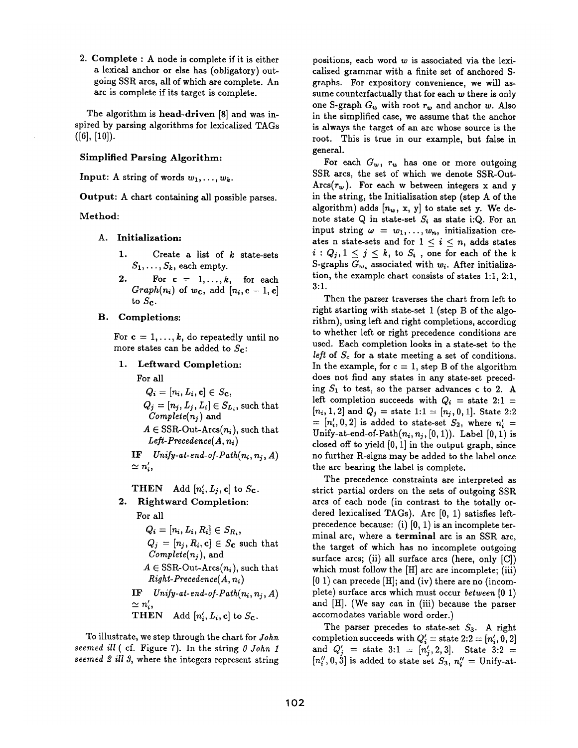2. Complete : A node is complete if it is either a lexical anchor or else has (obligatory) outgoing SSR arcs, all of which are complete. An arc is complete if its target is complete.

The algorithm is head-driven [8] and was inspired by parsing algorithms for lexicalized TAGs  $([6], [10]).$ 

#### Simplified Parsing Algorithm:

Input: A string of words  $w_1, \ldots, w_k$ .

Output: A chart containing all possible parses.

#### Method:

- **A. Initialization:** 
	- 1. Create a list of  $k$  state-sets  $S_1,\ldots, S_k$ , each empty.
	- 2. For  $c = 1, \ldots, k$ , for each  $Graph(n_i)$  of  $w_c$ , add  $[n_i, c-1, c]$ to  $S_{\mathbf{c}}$ .
- B. Completions:

For  $c = 1, ..., k$ , do repeatedly until no more states can be added to  $S_{\mathbf{c}}$ :

1. Leftward **Completion:** 

For all

$$
Q_i = [n_i, L_i, \mathbf{c}] \in S_{\mathbf{C}},
$$
  
\n
$$
Q_j = [n_j, L_j, L_i] \in S_{L_i}
$$
, such that  
\n
$$
Complete(n_j)
$$
 and  
\n
$$
A \in \text{SSR-Out-Arcs}(n_i)
$$
, such that  
\n
$$
Left-Precedence(A, n_i)
$$

 $IF$   $Unify-at-end-of-Path(n_i, n_i, A)$  $\simeq n'_i,$ 

THEN Add  $[n'_i, L_j, c]$  to  $S_c$ .

**2.**  Rightward **Completion:** 

For all  
\n
$$
Q_i = [n_i, L_i, R_i] \in S_{R_i},
$$
\n
$$
Q_j = [n_j, R_i, c] \in S_c \text{ such that}
$$
\n
$$
Complete(n_j), \text{ and}
$$
\n
$$
A \in \text{SSR-Out-Arcs}(n_i), \text{ such that}
$$
\n
$$
Right-Precdence(A, n_i)
$$

 $IF$   $Unify-at-end-of-Path(n_i, n_j, A)$  $\simeq n'_i,$ THEN Add  $[n'_i, L_i, c]$  to  $S_c$ .

To illustrate, we step through the chart for *John seemed ill (* cf. Figure 7). In the string 0 *John 1 seemed 2 ill 3,* where the integers represent string positions, each word w is associated via the lexicalized grammar with a finite set of anchored Sgraphs. For expository convenience, we will assume counterfactually that for each  $w$  there is only one S-graph  $G_w$  with root  $r_w$  and anchor w. Also in the simplified case, we assume that the anchor is always the target of an arc whose source is the root. This is true in our example, but false in general.

For each  $G_w$ ,  $r_w$  has one or more outgoing SSR arcs, the set of which we denote SSR-Out- $\text{Arcs}(r_w)$ . For each w between integers x and y in the string, the Initialization step (step A of the algorithm) adds  $[n_w, x, y]$  to state set y. We denote state Q in state-set  $S_i$  as state i:Q. For an input string  $\omega = w_1, \ldots, w_n$ , initialization creates n state-sets and for  $1 \leq i \leq n$ , adds states  $i: Q_j, 1 \leq j \leq k$ , to  $S_i$ , one for each of the k S-graphs  $G_{w_i}$  associated with  $w_i$ . After initialization, the example chart consists of states 1:1, 2:1, 3:1.

Then the parser traverses the chart from left to right starting with state-set 1 (step B of the algorithm), using left and right completions, according to whether left or right precedence conditions are used. Each completion looks in a state-set to the *left* of  $S_c$  for a state meeting a set of conditions. In the example, for  $c = 1$ , step B of the algorithm does not find any states in any state-set preceding  $S_1$  to test, so the parser advances c to 2. A left completion succeeds with  $Q_i$  = state 2:1 =  $[n_i, 1, 2]$  and  $Q_j =$  state 1:1 =  $[n_j, 0, 1]$ . State 2:2  $=[n'_i, 0, 2]$  is added to state-set  $S_2$ , where  $n'_i =$ Unify-at-end-of-Path $(n_i, n_j, [0, 1])$ . Label  $[0, 1)$  is closed off to yield  $[0, 1]$  in the output graph, since no further R-signs may be added to the label once the arc bearing the label is complete.

The precedence constraints are interpreted as strict partial orders on the sets of outgoing SSR arcs of each node (in contrast to the totally ordered lexicalized TAGs). Arc [0, 1) satisfies leftprecedence because: (i) [0, 1) is an incomplete terminal arc, where a terminal arc is an SSR arc, the target of which has no incomplete outgoing surface arcs; (ii) all surface arcs (here, only [C]) which must follow the [H] arc are incomplete; (iii)  $[0 1)$  can precede  $[H]$ ; and (iv) there are no (incomplete) surface arcs which must occur *between* [0 1) and [H]. (We say *can* in (iii) because the parser accomodates variable word order.)

The parser precedes to state-set  $S_3$ . A right completion succeeds with  $Q'_{i}$  = state 2:2 = [n'<sub>i</sub>, 0, 2] and  $Q'_{j}$  = state 3:1 =  $[n'_{j}, 2, 3]$ . State 3:2 =  $[n''_i, 0, 3]$  is added to state set  $S_3$ ,  $n''_i =$  Unify-at-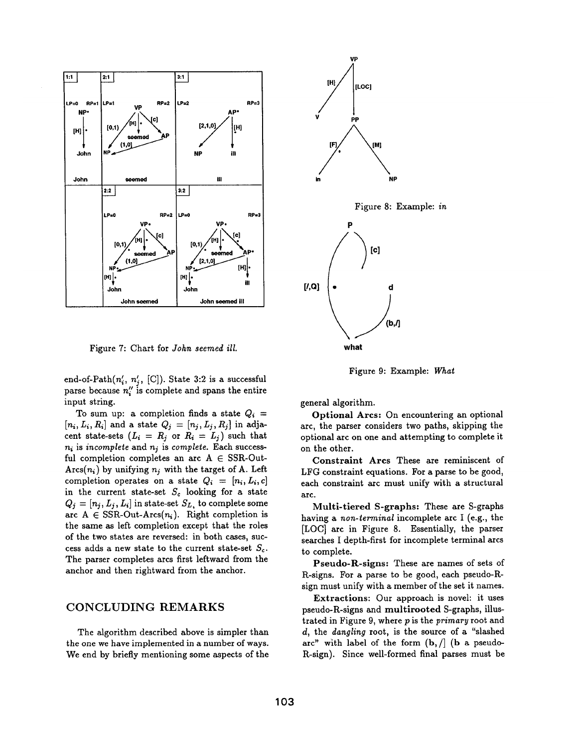

Figure 7: Chart for *John seemed ill.* 

end-of-Path $(n'_i, n'_j, [\text{C}])$ . State 3:2 is a successful parse because  $n''_i$  is complete and spans the entire input string.

To sum up: a completion finds a state  $Q_i$  =  $[n_i, L_i, R_i]$  and a state  $Q_j = [n_j, L_j, R_j]$  in adjacent state-sets  $(L_i = R_j \text{ or } R_i = L_j)$  such that  $n_i$  is *incomplete* and  $n_j$  is *complete*. Each successful completion completes an arc  $A \in SSR-Out$ - $\text{Arcs}(n_i)$  by unifying  $n_i$  with the target of A. Left completion operates on a state  $Q_i = [n_i, L_i, c]$ in the current state-set  $S_c$  looking for a state  $Q_j = [n_j, L_j, L_i]$  in state-set  $S_L$ , to complete some arc  $A \in \text{SSR-Out-Arcs}(n_i)$ . Right completion is the same as left completion except that the roles of the two states are reversed: in both cases, success adds a new state to the current state-set  $S_c$ . The parser completes arcs first leftward from the anchor and then rightward from the anchor.

# CONCLUDING REMARKS

The algorithm described above is simpler than the one we have implemented in a number of ways. We end by briefly mentioning some aspects of the



Figure 9: Example: What

general algorithm.

Optional Arcs: On encountering an optional arc, the parser considers two paths, skipping the optional arc on one and attempting to complete it on the other.

Constraint Arcs These are reminiscent of LFG constraint equations. For a parse to be good, each constraint arc must unify with a structural arc.

Multi-tiered S-graphs: These are S-graphs having a *non-terminal* incomplete arc I (e.g., the [LOC] arc in Figure 8. Essentially, the parser searches I depth-first for incomplete terminal arcs to complete.

Pseudo-R-signs: These are names of sets of R-signs. For a parse to be good, each pseudo-Rsign must unify with a member of the set it names.

Extractions: Our approach is novel: it uses pseudo-R-signs and multirooted S-graphs, illustrated in Figure 9, where p is the *primary* root and d, the *dangling* root, is the source of a "slashed arc" with label of the form  $(b, /]$  (b a pseudo-R-sign). Since well-formed final parses must be